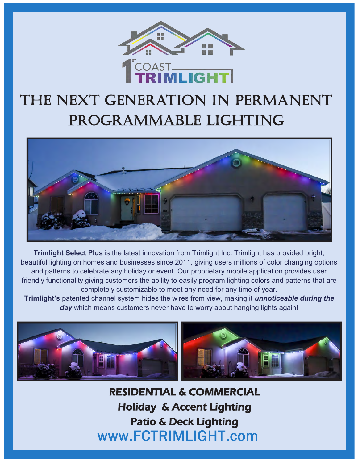

## The next generation in permanent programmable lighting



**Trimlight Select Plus** is the latest innovation from Trimlight Inc. Trimlight has provided bright, beautiful lighting on homes and businesses since 2011, giving users millions of color changing options and patterns to celebrate any holiday or event. Our proprietary mobile application provides user friendly functionality giving customers the ability to easily program lighting colors and patterns that are completely customizable to meet any need for any time of year.

**Trimlight's** patented channel system hides the wires from view, making it *unnoticeable during the*  day which means customers never have to worry about hanging lights again!



www.FCTRIMLIGHT.com RESIDENTIAL & COMMERCIAL Holiday & Accent Lighting Patio & Deck Lighting